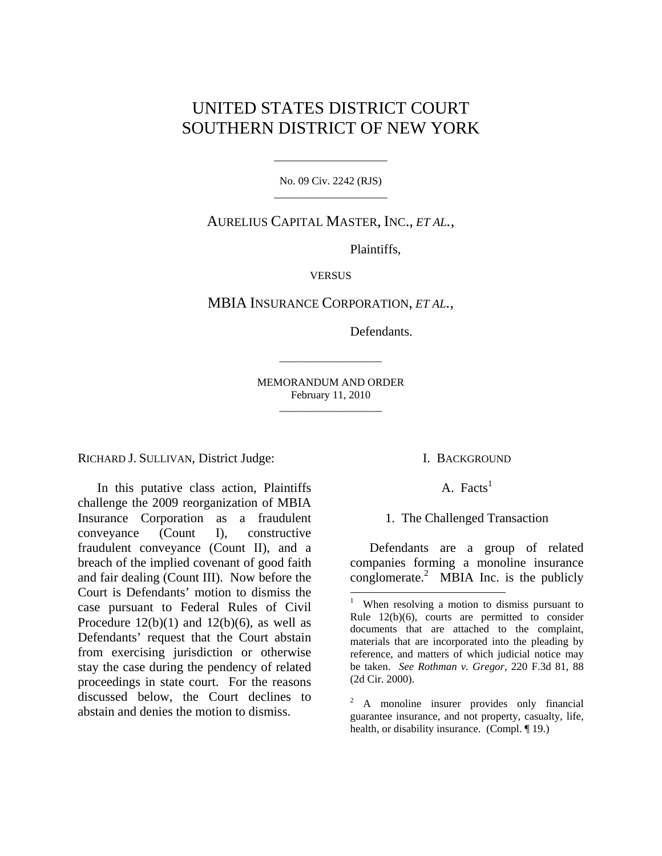# UNITED STATES DISTRICT COURT SOUTHERN DISTRICT OF NEW YORK

No. 09 Civ. 2242 (RJS) \_\_\_\_\_\_\_\_\_\_\_\_\_\_\_\_\_\_\_\_\_

\_\_\_\_\_\_\_\_\_\_\_\_\_\_\_\_\_\_\_\_\_

AURELIUS CAPITAL MASTER, INC., *ET AL.*,

Plaintiffs,

**VERSUS** 

MBIA INSURANCE CORPORATION, *ET AL.*,

Defendants.

MEMORANDUM AND ORDER February 11, 2010 \_\_\_\_\_\_\_\_\_\_\_\_\_\_\_\_\_\_\_

\_\_\_\_\_\_\_\_\_\_\_\_\_\_\_\_\_\_\_

RICHARD J. SULLIVAN, District Judge:

In this putative class action, Plaintiffs challenge the 2009 reorganization of MBIA Insurance Corporation as a fraudulent conveyance (Count I), constructive fraudulent conveyance (Count II), and a breach of the implied covenant of good faith and fair dealing (Count III). Now before the Court is Defendants' motion to dismiss the case pursuant to Federal Rules of Civil Procedure  $12(b)(1)$  and  $12(b)(6)$ , as well as Defendants' request that the Court abstain from exercising jurisdiction or otherwise stay the case during the pendency of related proceedings in state court. For the reasons discussed below, the Court declines to abstain and denies the motion to dismiss.

#### I. BACKGROUND

A. Facts<sup>1</sup>

1. The Challenged Transaction

Defendants are a group of related companies forming a monoline insurance conglomerate. $\frac{2}{3}$  MBIA Inc. is the publicly

<sup>|&</sup>lt;br>1 When resolving a motion to dismiss pursuant to Rule 12(b)(6), courts are permitted to consider documents that are attached to the complaint, materials that are incorporated into the pleading by reference, and matters of which judicial notice may be taken. *See Rothman v. Gregor,* 220 F.3d 81, 88 (2d Cir. 2000).

<sup>&</sup>lt;sup>2</sup> A monoline insurer provides only financial guarantee insurance, and not property, casualty, life, health, or disability insurance. (Compl. 19.)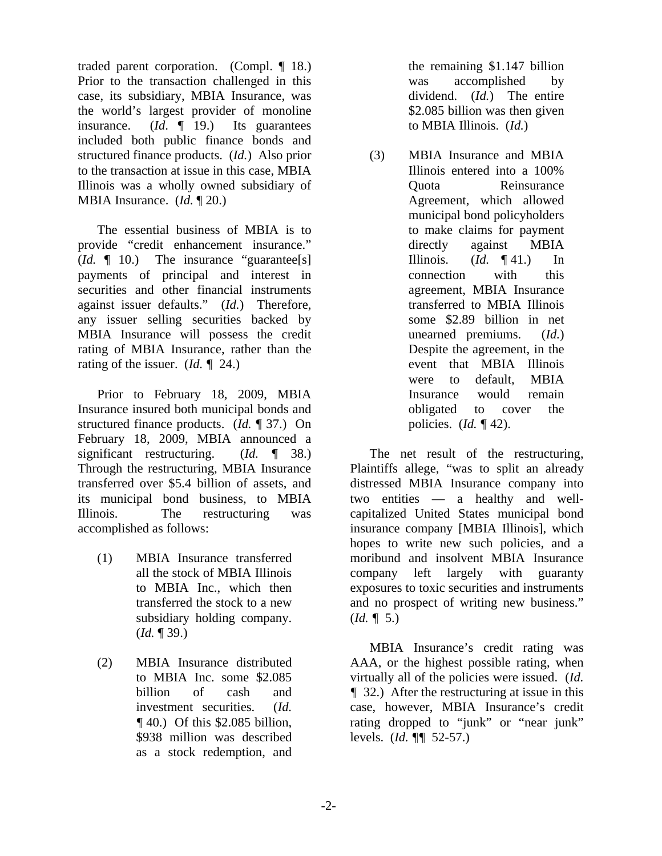traded parent corporation. (Compl. ¶ 18.) Prior to the transaction challenged in this case, its subsidiary, MBIA Insurance, was the world's largest provider of monoline<br>insurance.  $(Id. \P 19.)$  Its guarantees insurance. (*Id*. ¶ 19.) Its guarantees included both public finance bonds and structured finance products. (*Id.*) Also prior to the transaction at issue in this case, MBIA Illinois was a wholly owned subsidiary of MBIA Insurance. (*Id.* ¶ 20.)

The essential business of MBIA is to provide "credit enhancement insurance." (*Id.* ¶ 10.) The insurance "guarantee[s] payments of principal and interest in securities and other financial instruments against issuer defaults." (*Id.*) Therefore, any issuer selling securities backed by MBIA Insurance will possess the credit rating of MBIA Insurance, rather than the rating of the issuer. (*Id. ¶* 24.)

Prior to February 18, 2009, MBIA Insurance insured both municipal bonds and structured finance products. (*Id.* ¶ 37.) On February 18, 2009, MBIA announced a significant restructuring. (*Id. ¶* 38.) Through the restructuring, MBIA Insurance transferred over \$5.4 billion of assets, and its municipal bond business, to MBIA Illinois. The restructuring was accomplished as follows:

- (1) MBIA Insurance transferred all the stock of MBIA Illinois to MBIA Inc., which then transferred the stock to a new subsidiary holding company. (*Id.* ¶ 39.)
- (2) MBIA Insurance distributed to MBIA Inc. some \$2.085 billion of cash and investment securities. (*Id. ¶* 40.) Of this \$2.085 billion, \$938 million was described as a stock redemption, and

the remaining \$1.147 billion was accomplished by dividend. (*Id.*) The entire \$2.085 billion was then given to MBIA Illinois. (*Id.*)

(3) MBIA Insurance and MBIA Illinois entered into a 100% Quota Reinsurance Agreement, which allowed municipal bond policyholders to make claims for payment directly against MBIA Illinois. (*Id. ¶* 41.) In connection with this agreement, MBIA Insurance transferred to MBIA Illinois some \$2.89 billion in net unearned premiums. (*Id.*) Despite the agreement, in the event that MBIA Illinois were to default, MBIA Insurance would remain obligated to cover the policies. (*Id. ¶* 42).

The net result of the restructuring, Plaintiffs allege, "was to split an already distressed MBIA Insurance company into two entities — a healthy and wellcapitalized United States municipal bond insurance company [MBIA Illinois], which hopes to write new such policies, and a moribund and insolvent MBIA Insurance company left largely with guaranty exposures to toxic securities and instruments and no prospect of writing new business." (*Id. ¶* 5.)

MBIA Insurance's credit rating was AAA, or the highest possible rating, when virtually all of the policies were issued. (*Id. ¶* 32.) After the restructuring at issue in this case, however, MBIA Insurance's credit rating dropped to "junk" or "near junk" levels. (*Id. ¶¶* 52-57.)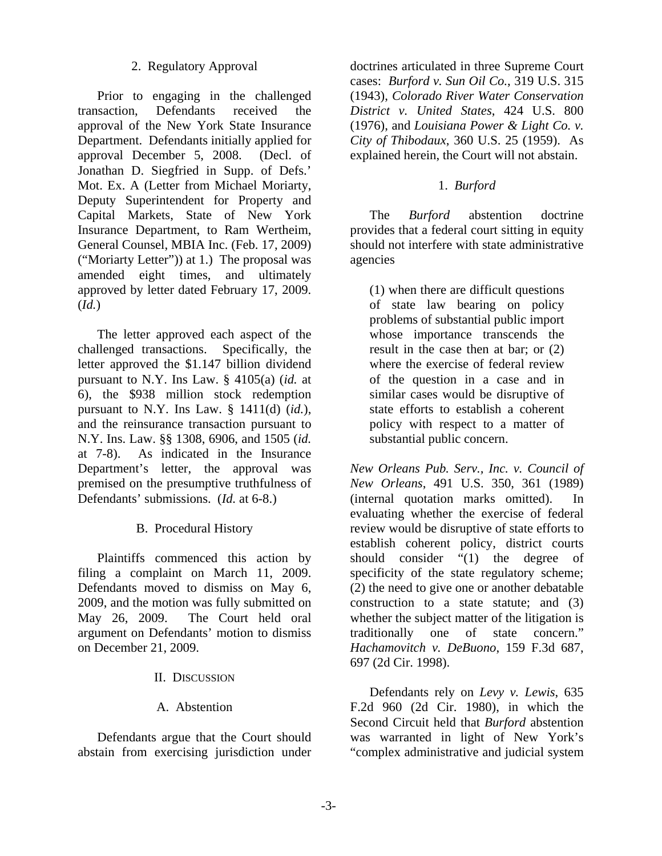## 2. Regulatory Approval

Prior to engaging in the challenged transaction, Defendants received the approval of the New York State Insurance Department. Defendants initially applied for approval December 5, 2008. (Decl. of Jonathan D. Siegfried in Supp. of Defs.' Mot. Ex. A (Letter from Michael Moriarty, Deputy Superintendent for Property and Capital Markets, State of New York Insurance Department, to Ram Wertheim, General Counsel, MBIA Inc. (Feb. 17, 2009) ("Moriarty Letter")) at 1.) The proposal was amended eight times, and ultimately approved by letter dated February 17, 2009. (*Id.*)

The letter approved each aspect of the challenged transactions. Specifically, the letter approved the \$1.147 billion dividend pursuant to N.Y. Ins Law. § 4105(a) (*id.* at 6), the \$938 million stock redemption pursuant to N.Y. Ins Law. § 1411(d) (*id.*), and the reinsurance transaction pursuant to N.Y. Ins. Law. §§ 1308, 6906, and 1505 (*id.* at 7-8). As indicated in the Insurance Department's letter, the approval was premised on the presumptive truthfulness of Defendants' submissions. (*Id.* at 6-8.)

### B. Procedural History

Plaintiffs commenced this action by filing a complaint on March 11, 2009. Defendants moved to dismiss on May 6, 2009, and the motion was fully submitted on May 26, 2009. The Court held oral argument on Defendants' motion to dismiss on December 21, 2009.

### II. DISCUSSION

# A. Abstention

Defendants argue that the Court should abstain from exercising jurisdiction under

doctrines articulated in three Supreme Court cases: *Burford v. Sun Oil Co.*, 319 U.S. 315 (1943), *Colorado River Water Conservation District v. United States*, 424 U.S. 800 (1976), and *Louisiana Power & Light Co. v. City of Thibodaux*, 360 U.S. 25 (1959). As explained herein, the Court will not abstain.

## 1. *Burford*

The *Burford* abstention doctrine provides that a federal court sitting in equity should not interfere with state administrative agencies

(1) when there are difficult questions of state law bearing on policy problems of substantial public import whose importance transcends the result in the case then at bar; or (2) where the exercise of federal review of the question in a case and in similar cases would be disruptive of state efforts to establish a coherent policy with respect to a matter of substantial public concern.

*New Orleans Pub. Serv., Inc. v. Council of New Orleans*, 491 U.S. 350, 361 (1989) (internal quotation marks omitted). In evaluating whether the exercise of federal review would be disruptive of state efforts to establish coherent policy, district courts should consider "(1) the degree of specificity of the state regulatory scheme; (2) the need to give one or another debatable construction to a state statute; and (3) whether the subject matter of the litigation is traditionally one of state concern." *Hachamovitch v. DeBuono*, 159 F.3d 687, 697 (2d Cir. 1998).

Defendants rely on *Levy v. Lewis*, 635 F.2d 960 (2d Cir. 1980), in which the Second Circuit held that *Burford* abstention was warranted in light of New York's "complex administrative and judicial system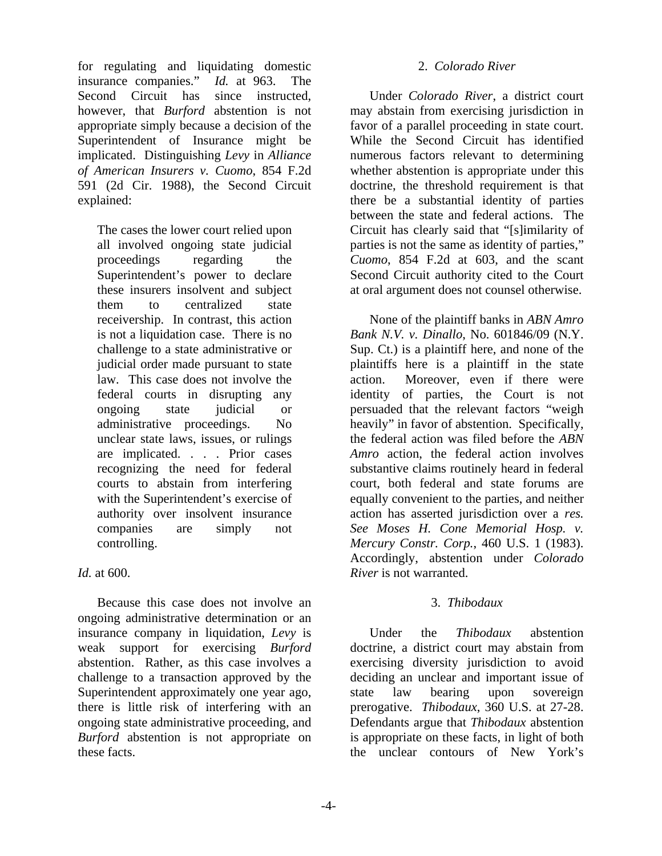for regulating and liquidating domestic insurance companies." *Id.* at 963. The Second Circuit has since instructed, however, that *Burford* abstention is not appropriate simply because a decision of the Superintendent of Insurance might be implicated. Distinguishing *Levy* in *Alliance of American Insurers v. Cuomo*, 854 F.2d 591 (2d Cir. 1988), the Second Circuit explained:

The cases the lower court relied upon all involved ongoing state judicial proceedings regarding the Superintendent's power to declare these insurers insolvent and subject them to centralized state receivership. In contrast, this action is not a liquidation case. There is no challenge to a state administrative or judicial order made pursuant to state law. This case does not involve the federal courts in disrupting any ongoing state judicial or administrative proceedings. No unclear state laws, issues, or rulings are implicated. . . . Prior cases recognizing the need for federal courts to abstain from interfering with the Superintendent's exercise of authority over insolvent insurance companies are simply not controlling.

### *Id.* at 600.

Because this case does not involve an ongoing administrative determination or an insurance company in liquidation, *Levy* is weak support for exercising *Burford* abstention. Rather, as this case involves a challenge to a transaction approved by the Superintendent approximately one year ago, there is little risk of interfering with an ongoing state administrative proceeding, and *Burford* abstention is not appropriate on these facts.

#### 2. *Colorado River*

Under *Colorado River*, a district court may abstain from exercising jurisdiction in favor of a parallel proceeding in state court. While the Second Circuit has identified numerous factors relevant to determining whether abstention is appropriate under this doctrine, the threshold requirement is that there be a substantial identity of parties between the state and federal actions. The Circuit has clearly said that "[s]imilarity of parties is not the same as identity of parties," *Cuomo*, 854 F.2d at 603, and the scant Second Circuit authority cited to the Court at oral argument does not counsel otherwise.

None of the plaintiff banks in *ABN Amro Bank N.V. v. Dinallo*, No. 601846/09 (N.Y. Sup. Ct.) is a plaintiff here, and none of the plaintiffs here is a plaintiff in the state action. Moreover, even if there were identity of parties, the Court is not persuaded that the relevant factors "weigh heavily" in favor of abstention. Specifically, the federal action was filed before the *ABN Amro* action, the federal action involves substantive claims routinely heard in federal court, both federal and state forums are equally convenient to the parties, and neither action has asserted jurisdiction over a *res. See Moses H. Cone Memorial Hosp. v. Mercury Constr. Corp.*, 460 U.S. 1 (1983). Accordingly, abstention under *Colorado River* is not warranted.

# 3. *Thibodaux*

Under the *Thibodaux* abstention doctrine, a district court may abstain from exercising diversity jurisdiction to avoid deciding an unclear and important issue of state law bearing upon sovereign prerogative. *Thibodaux*, 360 U.S. at 27-28. Defendants argue that *Thibodaux* abstention is appropriate on these facts, in light of both the unclear contours of New York's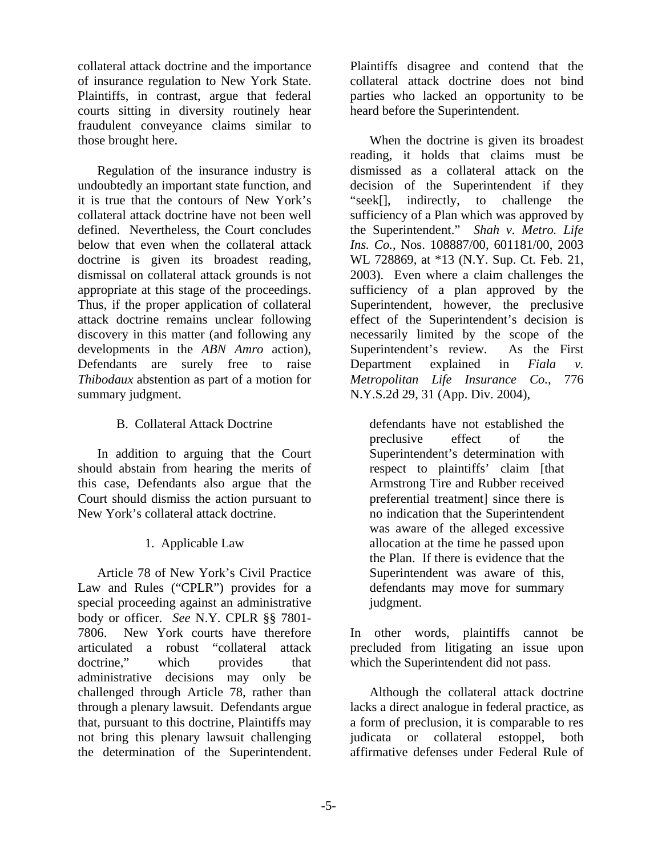collateral attack doctrine and the importance of insurance regulation to New York State. Plaintiffs, in contrast, argue that federal courts sitting in diversity routinely hear fraudulent conveyance claims similar to those brought here.

Regulation of the insurance industry is undoubtedly an important state function, and it is true that the contours of New York's collateral attack doctrine have not been well defined. Nevertheless, the Court concludes below that even when the collateral attack doctrine is given its broadest reading, dismissal on collateral attack grounds is not appropriate at this stage of the proceedings. Thus, if the proper application of collateral attack doctrine remains unclear following discovery in this matter (and following any developments in the *ABN Amro* action), Defendants are surely free to raise *Thibodaux* abstention as part of a motion for summary judgment.

## B. Collateral Attack Doctrine

In addition to arguing that the Court should abstain from hearing the merits of this case, Defendants also argue that the Court should dismiss the action pursuant to New York's collateral attack doctrine.

# 1. Applicable Law

Article 78 of New York's Civil Practice Law and Rules ("CPLR") provides for a special proceeding against an administrative body or officer. *See* N.Y. CPLR §§ 7801- 7806. New York courts have therefore articulated a robust "collateral attack doctrine," which provides that administrative decisions may only be challenged through Article 78, rather than through a plenary lawsuit. Defendants argue that, pursuant to this doctrine, Plaintiffs may not bring this plenary lawsuit challenging the determination of the Superintendent.

Plaintiffs disagree and contend that the collateral attack doctrine does not bind parties who lacked an opportunity to be heard before the Superintendent.

When the doctrine is given its broadest reading, it holds that claims must be dismissed as a collateral attack on the decision of the Superintendent if they "seek[], indirectly, to challenge the sufficiency of a Plan which was approved by the Superintendent." *Shah v. Metro. Life Ins. Co.*, Nos. 108887/00, 601181/00, 2003 WL 728869, at \*13 (N.Y. Sup. Ct. Feb. 21, 2003). Even where a claim challenges the sufficiency of a plan approved by the Superintendent, however, the preclusive effect of the Superintendent's decision is necessarily limited by the scope of the Superintendent's review. As the First Department explained in *Fiala v. Metropolitan Life Insurance Co.*, 776 N.Y.S.2d 29, 31 (App. Div. 2004),

defendants have not established the preclusive effect of the Superintendent's determination with respect to plaintiffs' claim [that Armstrong Tire and Rubber received preferential treatment] since there is no indication that the Superintendent was aware of the alleged excessive allocation at the time he passed upon the Plan. If there is evidence that the Superintendent was aware of this, defendants may move for summary judgment.

In other words, plaintiffs cannot be precluded from litigating an issue upon which the Superintendent did not pass.

Although the collateral attack doctrine lacks a direct analogue in federal practice, as a form of preclusion, it is comparable to res judicata or collateral estoppel, both affirmative defenses under Federal Rule of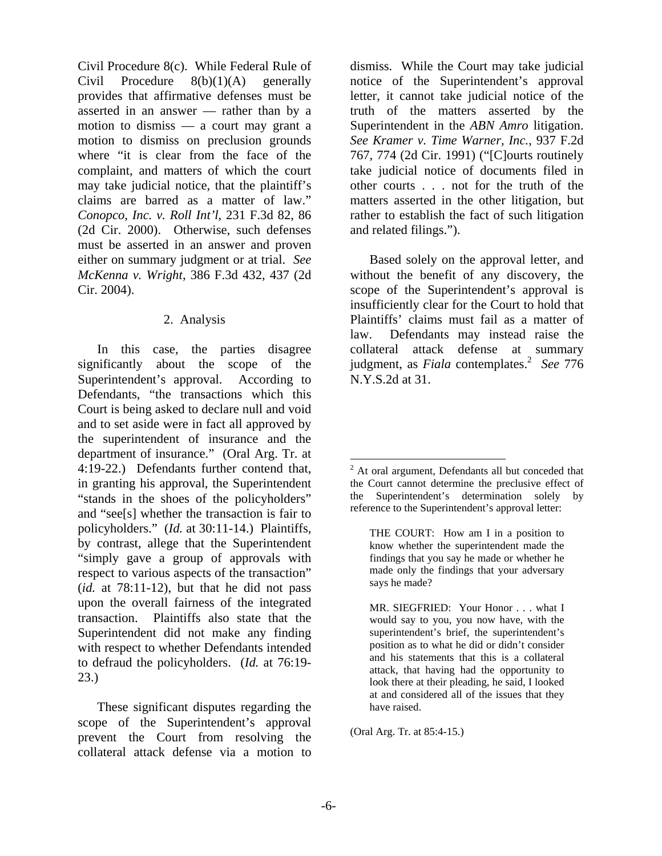Civil Procedure 8(c). While Federal Rule of Civil Procedure  $8(b)(1)(A)$  generally provides that affirmative defenses must be asserted in an answer — rather than by a motion to dismiss — a court may grant a motion to dismiss on preclusion grounds where "it is clear from the face of the complaint, and matters of which the court may take judicial notice, that the plaintiff's claims are barred as a matter of law." *Conopco, Inc. v. Roll Int'l*, 231 F.3d 82, 86 (2d Cir. 2000). Otherwise, such defenses must be asserted in an answer and proven either on summary judgment or at trial. *See McKenna v. Wright*, 386 F.3d 432, 437 (2d Cir. 2004).

### 2. Analysis

In this case, the parties disagree significantly about the scope of the Superintendent's approval. According to Defendants, "the transactions which this Court is being asked to declare null and void and to set aside were in fact all approved by the superintendent of insurance and the department of insurance." (Oral Arg. Tr. at 4:19-22.) Defendants further contend that, in granting his approval, the Superintendent "stands in the shoes of the policyholders" and "see[s] whether the transaction is fair to policyholders." (*Id.* at 30:11-14.) Plaintiffs, by contrast, allege that the Superintendent "simply gave a group of approvals with respect to various aspects of the transaction" (*id.* at 78:11-12), but that he did not pass upon the overall fairness of the integrated transaction. Plaintiffs also state that the Superintendent did not make any finding with respect to whether Defendants intended to defraud the policyholders. (*Id.* at 76:19- 23.)

These significant disputes regarding the scope of the Superintendent's approval prevent the Court from resolving the collateral attack defense via a motion to

dismiss. While the Court may take judicial notice of the Superintendent's approval letter, it cannot take judicial notice of the truth of the matters asserted by the Superintendent in the *ABN Amro* litigation. *See Kramer v. Time Warner, Inc.*, 937 F.2d 767, 774 (2d Cir. 1991) ("[C]ourts routinely take judicial notice of documents filed in other courts . . . not for the truth of the matters asserted in the other litigation, but rather to establish the fact of such litigation and related filings.").

Based solely on the approval letter, and without the benefit of any discovery, the scope of the Superintendent's approval is insufficiently clear for the Court to hold that Plaintiffs' claims must fail as a matter of law. Defendants may instead raise the collateral attack defense at summary judgment, as *Fiala* contemplates.<sup>2</sup> See 776 N.Y.S.2d at 31.

(Oral Arg. Tr. at 85:4-15.)

<sup>&</sup>lt;sup>2</sup> At oral argument, Defendants all but conceded that the Court cannot determine the preclusive effect of the Superintendent's determination solely by reference to the Superintendent's approval letter:

THE COURT: How am I in a position to know whether the superintendent made the findings that you say he made or whether he made only the findings that your adversary says he made?

MR. SIEGFRIED: Your Honor . . . what I would say to you, you now have, with the superintendent's brief, the superintendent's position as to what he did or didn't consider and his statements that this is a collateral attack, that having had the opportunity to look there at their pleading, he said, I looked at and considered all of the issues that they have raised.